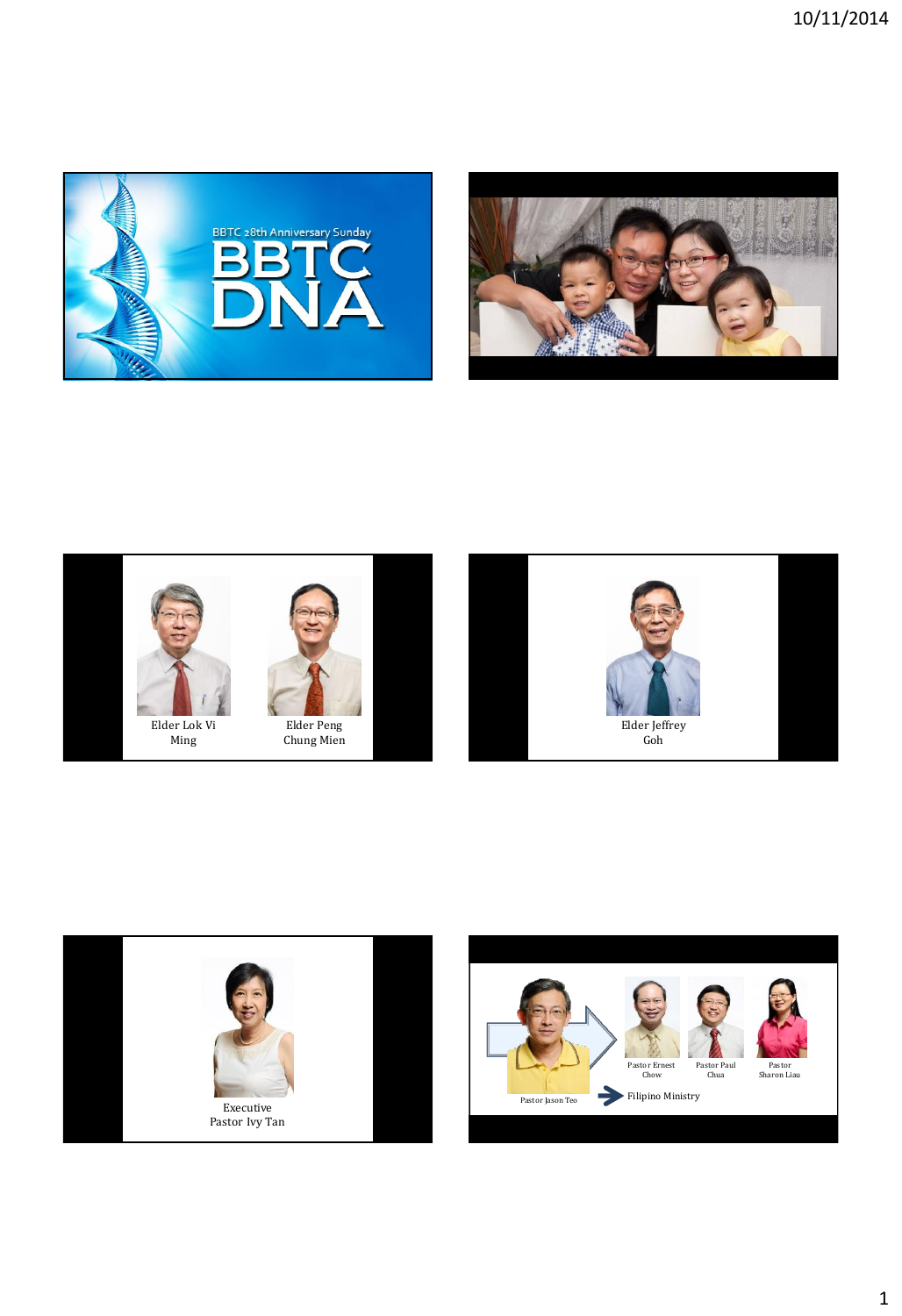







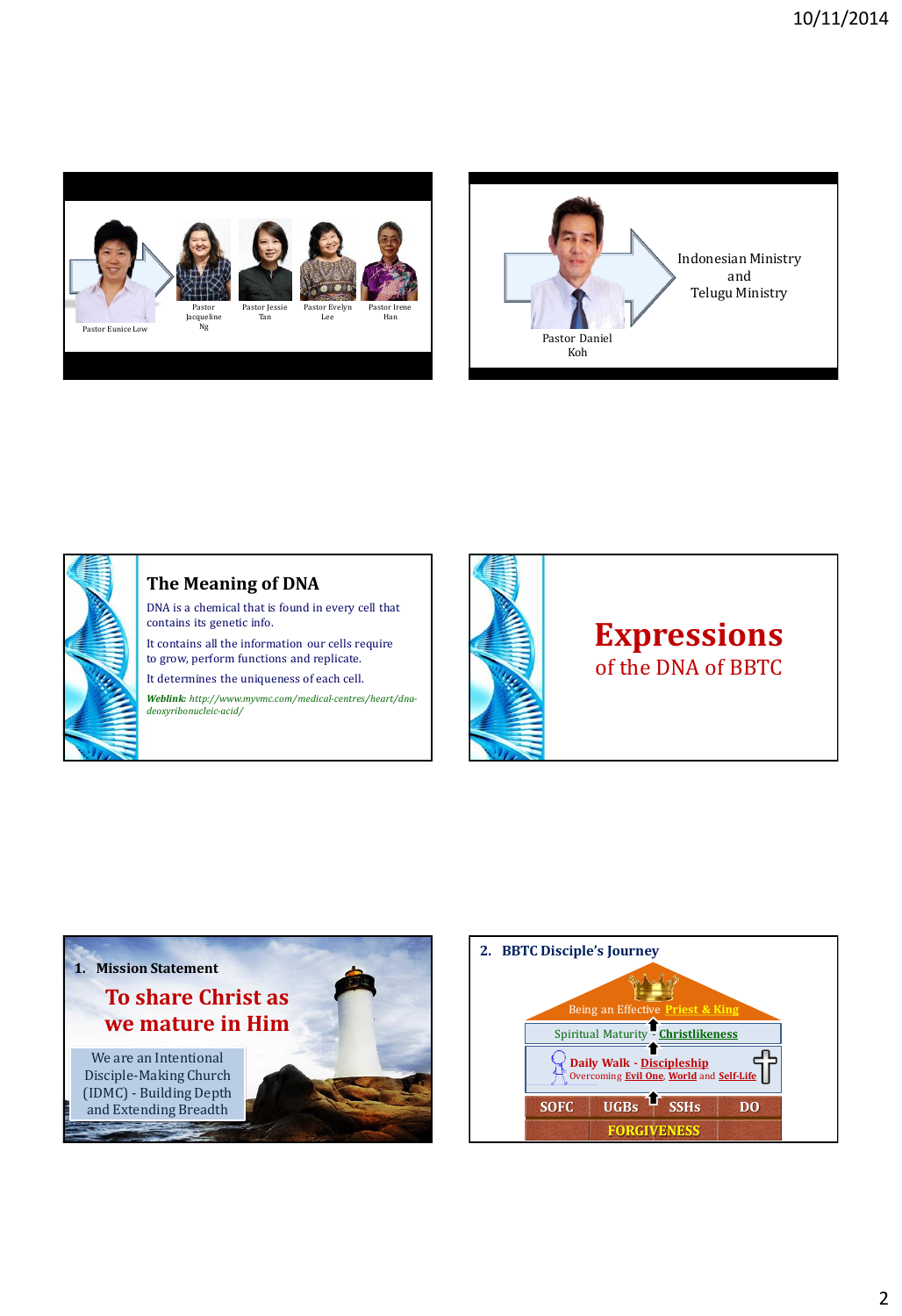





## **The Meaning of DNA**

DNA is a chemical that is found in every cell that contains its genetic info.

It contains all the information our cells require to grow, perform functions and replicate.

It determines the uniqueness of each cell.

*Weblink: http://www.myvmc.com/medical-centres/heart/dnadeoxyribonucleic-acid/*



## **Expressions** of the DNA of BBTC